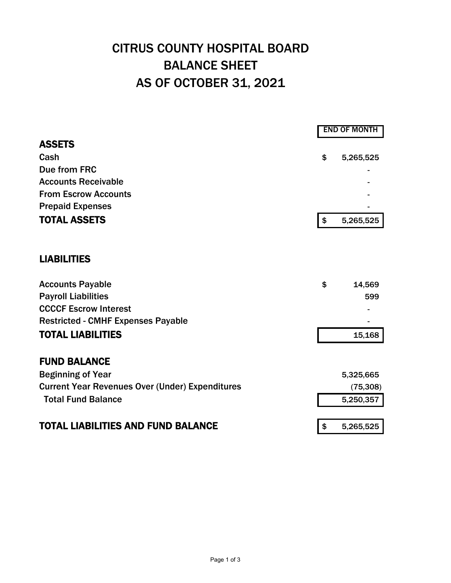## CITRUS COUNTY HOSPITAL BOARD BALANCE SHEET AS OF OCTOBER 31, 2021

|                                                        | <b>END OF MONTH</b> |           |  |
|--------------------------------------------------------|---------------------|-----------|--|
| <b>ASSETS</b>                                          |                     |           |  |
| Cash                                                   | \$                  | 5,265,525 |  |
| Due from FRC                                           |                     |           |  |
| <b>Accounts Receivable</b>                             |                     |           |  |
| <b>From Escrow Accounts</b>                            |                     |           |  |
| <b>Prepaid Expenses</b>                                |                     |           |  |
| <b>TOTAL ASSETS</b>                                    | \$                  | 5,265,525 |  |
| <b>LIABILITIES</b>                                     |                     |           |  |
|                                                        |                     |           |  |
| <b>Accounts Payable</b>                                | \$                  | 14,569    |  |
| <b>Payroll Liabilities</b>                             |                     | 599       |  |
| <b>CCCCF Escrow Interest</b>                           |                     |           |  |
| <b>Restricted - CMHF Expenses Payable</b>              |                     |           |  |
| <b>TOTAL LIABILITIES</b>                               |                     | 15,168    |  |
| <b>FUND BALANCE</b>                                    |                     |           |  |
| <b>Beginning of Year</b>                               |                     | 5,325,665 |  |
| <b>Current Year Revenues Over (Under) Expenditures</b> |                     | (75, 308) |  |
| <b>Total Fund Balance</b>                              |                     | 5,250,357 |  |
|                                                        |                     |           |  |
| <b>TOTAL LIABILITIES AND FUND BALANCE</b>              | \$                  | 5,265,525 |  |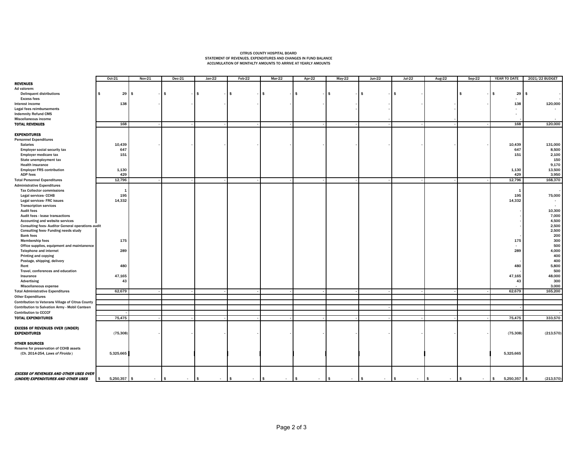## CITRUS COUNTY HOSPITAL BOARD STATEMENT OF REVENUES, EXPENDITURES AND CHANGES IN FUND BALANCE ACCUMULATION OF MONTHLTY AMOUNTS TO ARRIVE AT YEARLY AMOUNTS

|                                                         | Oct-21               | <b>Nov-21</b> | $Dec-21$       | $Jan-22$           | Feb-22                  | $Mar-22$             | Apr-22               | $May-22$               | $Jun-22$           | $Jul-22$               | Aug-22        | $Sep-22$                | YEAR TO DATE               | 2021/22 BUDGET   |
|---------------------------------------------------------|----------------------|---------------|----------------|--------------------|-------------------------|----------------------|----------------------|------------------------|--------------------|------------------------|---------------|-------------------------|----------------------------|------------------|
| <b>REVENUES</b>                                         |                      |               |                |                    |                         |                      |                      |                        |                    |                        |               |                         |                            |                  |
| Ad valorem:                                             |                      |               |                |                    |                         |                      |                      |                        |                    |                        |               |                         |                            |                  |
| <b>Delinquent distributions</b>                         | $29 \quad$ \$<br>\$  |               | $\sim$         | $\mathbf{s}$       | \$.                     |                      | \$                   |                        |                    | I\$                    |               | - \$                    | 29                         | s.               |
| <b>Excess fees</b>                                      |                      |               |                |                    |                         |                      |                      |                        |                    |                        |               |                         | $\sim$                     |                  |
| Interest income                                         | 138                  |               |                |                    |                         |                      |                      |                        |                    |                        |               |                         | 138                        | 120,000          |
| Legal fees reimbursements                               |                      |               |                |                    |                         |                      |                      |                        |                    |                        |               |                         | $\sim$                     |                  |
| <b>Indemnity Refund CMS</b>                             |                      |               |                |                    |                         |                      |                      |                        |                    |                        |               |                         | $\sim$                     |                  |
| Miscellaneous income                                    |                      |               |                |                    |                         |                      |                      |                        |                    |                        |               |                         |                            |                  |
| <b>TOTAL REVENUES</b>                                   | 168                  |               |                |                    |                         |                      |                      |                        |                    |                        |               |                         | 168                        | 120,000          |
|                                                         |                      |               |                |                    |                         |                      |                      |                        |                    |                        |               |                         |                            |                  |
| <b>EXPENDITURES</b>                                     |                      |               |                |                    |                         |                      |                      |                        |                    |                        |               |                         |                            |                  |
|                                                         |                      |               |                |                    |                         |                      |                      |                        |                    |                        |               |                         |                            |                  |
| <b>Personnel Expenditures</b>                           | 10,439               |               |                |                    |                         |                      |                      |                        |                    |                        |               |                         | 10,439                     | 131,000          |
| <b>Salaries</b>                                         |                      |               |                |                    |                         |                      |                      |                        |                    |                        |               |                         |                            |                  |
| Employer social security tax                            | 647                  |               |                |                    |                         |                      |                      |                        |                    |                        |               |                         | 647                        | 8,500            |
| Employer medicare tax                                   | 151                  |               |                |                    |                         |                      |                      |                        |                    |                        |               |                         | 151                        | 2,100            |
| State unemployment tax                                  |                      |               |                |                    |                         |                      |                      |                        |                    |                        |               |                         |                            | 150              |
| <b>Health insurance</b>                                 |                      |               |                |                    |                         |                      |                      |                        |                    |                        |               |                         |                            | 9,170            |
| <b>Employer FRS contribution</b>                        | 1,130                |               |                |                    |                         |                      |                      |                        |                    |                        |               |                         | 1,130                      | 13,500           |
| <b>ADP fees</b>                                         | 429                  |               |                |                    |                         |                      |                      |                        |                    |                        |               |                         | 429                        | 3,950            |
| <b>Total Personnel Expenditures</b>                     | 12,796               |               |                |                    |                         |                      |                      |                        |                    |                        |               |                         | 12,796                     | 168,370          |
| <b>Administrative Expenditures</b>                      |                      |               |                |                    |                         |                      |                      |                        |                    |                        |               |                         |                            |                  |
| <b>Tax Collector commissions</b>                        | $\mathbf{1}$         |               |                |                    |                         |                      |                      |                        |                    |                        |               |                         | - 1                        |                  |
| Legal services- CCHB                                    | 195                  |               |                |                    |                         |                      |                      |                        |                    |                        |               |                         | 195                        | 75,000           |
| Legal services- FRC issues                              | 14,332               |               |                |                    |                         |                      |                      |                        |                    |                        |               |                         | 14,332                     |                  |
| <b>Transcription services</b>                           |                      |               |                |                    |                         |                      |                      |                        |                    |                        |               |                         |                            |                  |
| <b>Audit fees</b>                                       |                      |               |                |                    |                         |                      |                      |                        |                    |                        |               |                         |                            | 10,300           |
| Audit fees - lease transactions                         |                      |               |                |                    |                         |                      |                      |                        |                    |                        |               |                         |                            | 7,000            |
| Accounting and website services                         |                      |               |                |                    |                         |                      |                      |                        |                    |                        |               |                         |                            | 4,500            |
| <b>Consulting fees-Auditor General operations audit</b> |                      |               |                |                    |                         |                      |                      |                        |                    |                        |               |                         |                            | 2,500            |
| Consulting fees- Funding needs study                    |                      |               |                |                    |                         |                      |                      |                        |                    |                        |               |                         |                            | 2,500            |
| <b>Bank fees</b>                                        |                      |               |                |                    |                         |                      |                      |                        |                    |                        |               |                         |                            | 200              |
| <b>Membership fees</b>                                  | 175                  |               |                |                    |                         |                      |                      |                        |                    |                        |               |                         | 175                        | 300              |
| Office supplies, equipment and maintanence              |                      |               |                |                    |                         |                      |                      |                        |                    |                        |               |                         | $\sim$                     | 500              |
| Telephone and internet                                  | 289                  |               |                |                    |                         |                      |                      |                        |                    |                        |               |                         | 289                        | 4,000            |
| Printing and copying                                    |                      |               |                |                    |                         |                      |                      |                        |                    |                        |               |                         |                            | 400              |
| Postage, shipping, delivery                             |                      |               |                |                    |                         |                      |                      |                        |                    |                        |               |                         |                            | 400              |
| Rent                                                    | 480                  |               |                |                    |                         |                      |                      |                        |                    |                        |               |                         | 480                        | 5,800            |
| Travel, conferences and education                       |                      |               |                |                    |                         |                      |                      |                        |                    |                        |               |                         |                            | 500              |
| Insurance                                               | 47,165               |               |                |                    |                         |                      |                      |                        |                    |                        |               |                         | 47,165                     | 48,000           |
| Advertising                                             | 43                   |               |                |                    |                         |                      |                      |                        |                    |                        |               |                         | 43                         | 300              |
|                                                         |                      |               |                |                    |                         |                      |                      |                        |                    |                        |               |                         |                            | 3,000            |
| Miscellaneous expense                                   |                      |               |                |                    |                         |                      |                      |                        |                    |                        |               |                         | 62,679                     | 165,200          |
| <b>Total Administrative Expenditures</b>                | 62,679               |               |                |                    |                         |                      |                      |                        |                    |                        |               |                         |                            |                  |
| <b>Other Expenditures</b>                               |                      |               |                |                    |                         |                      |                      |                        |                    |                        |               |                         |                            |                  |
| Contribution to Veterans Village of Citrus County       |                      |               |                |                    |                         |                      |                      |                        |                    |                        |               |                         |                            |                  |
| Contribution to Salvation Army - Mobil Canteen          |                      |               |                |                    |                         |                      |                      |                        |                    |                        |               |                         |                            |                  |
| <b>Contribution to CCCCF</b>                            |                      |               |                |                    |                         |                      |                      |                        |                    |                        |               |                         |                            |                  |
| <b>TOTAL EXPENDITURES</b>                               | 75,475               |               |                |                    |                         |                      |                      |                        |                    |                        |               |                         | 75,475                     | 333,570          |
|                                                         |                      |               |                |                    |                         |                      |                      |                        |                    |                        |               |                         |                            |                  |
| <b>EXCESS OF REVENUES OVER (UNDER)</b>                  |                      |               |                |                    |                         |                      |                      |                        |                    |                        |               |                         |                            |                  |
| <b>EXPENDITURES</b>                                     | (75, 308)            |               |                |                    |                         |                      |                      |                        |                    |                        |               |                         | (75, 308)                  | (213, 570)       |
|                                                         |                      |               |                |                    |                         |                      |                      |                        |                    |                        |               |                         |                            |                  |
| <b>OTHER SOURCES</b>                                    |                      |               |                |                    |                         |                      |                      |                        |                    |                        |               |                         |                            |                  |
| Reserve for preservation of CCHB assets                 |                      |               |                |                    |                         |                      |                      |                        |                    |                        |               |                         |                            |                  |
| (Ch. 2014-254, Laws of Firoida)                         | 5,325,665            |               |                |                    |                         |                      |                      |                        |                    |                        |               |                         | 5,325,665                  |                  |
|                                                         |                      |               |                |                    |                         |                      |                      |                        |                    |                        |               |                         |                            |                  |
|                                                         |                      |               |                |                    |                         |                      |                      |                        |                    |                        |               |                         |                            |                  |
|                                                         |                      |               |                |                    |                         |                      |                      |                        |                    |                        |               |                         |                            |                  |
| <b>EXCESS OF REVENUES AND OTHER USES OVER</b>           |                      |               |                |                    |                         |                      |                      |                        |                    |                        |               |                         |                            |                  |
| (UNDER) EXPENDITURES AND OTHER USES                     | $5,250,357$ \$<br>\$ | $\sim$        | l \$<br>$\sim$ | <b>S</b><br>$\sim$ | $\frac{1}{2}$<br>$\sim$ | $\sqrt{ }$<br>$\sim$ | $\sqrt{5}$<br>$\sim$ | $\mathsf{I}$<br>$\sim$ | <b>S</b><br>$\sim$ | $\mathsf{I}$<br>$\sim$ | l s<br>$\sim$ | $\frac{1}{2}$<br>$\sim$ | 5,250,357<br>$\frac{1}{2}$ | (213,570)<br>l s |